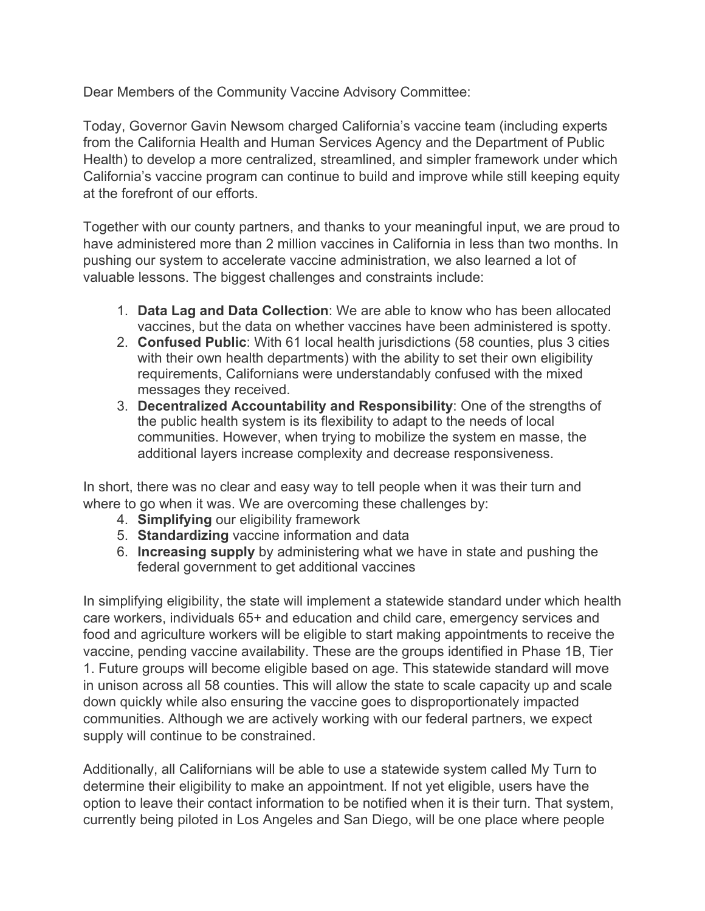Dear Members of the Community Vaccine Advisory Committee:

Today, Governor Gavin Newsom charged California's vaccine team (including experts from the California Health and Human Services Agency and the Department of Public Health) to develop a more centralized, streamlined, and simpler framework under which California's vaccine program can continue to build and improve while still keeping equity at the forefront of our efforts.

Together with our county partners, and thanks to your meaningful input, we are proud to have administered more than 2 million vaccines in California in less than two months. In pushing our system to accelerate vaccine administration, we also learned a lot of valuable lessons. The biggest challenges and constraints include:

- 1. **Data Lag and Data Collection**: We are able to know who has been allocated vaccines, but the data on whether vaccines have been administered is spotty.
- 2. **Confused Public**: With 61 local health jurisdictions (58 counties, plus 3 cities with their own health departments) with the ability to set their own eligibility requirements, Californians were understandably confused with the mixed messages they received.
- 3. **Decentralized Accountability and Responsibility**: One of the strengths of the public health system is its flexibility to adapt to the needs of local communities. However, when trying to mobilize the system en masse, the additional layers increase complexity and decrease responsiveness.

In short, there was no clear and easy way to tell people when it was their turn and where to go when it was. We are overcoming these challenges by:

- 4. **Simplifying** our eligibility framework
- 5. **Standardizing** vaccine information and data
- 6. **Increasing supply** by administering what we have in state and pushing the federal government to get additional vaccines

In simplifying eligibility, the state will implement a statewide standard under which health care workers, individuals 65+ and education and child care, emergency services and food and agriculture workers will be eligible to start making appointments to receive the vaccine, pending vaccine availability. These are the groups identified in Phase 1B, Tier 1. Future groups will become eligible based on age. This statewide standard will move in unison across all 58 counties. This will allow the state to scale capacity up and scale down quickly while also ensuring the vaccine goes to disproportionately impacted communities. Although we are actively working with our federal partners, we expect supply will continue to be constrained.

Additionally, all Californians will be able to use a statewide system called My Turn to determine their eligibility to make an appointment. If not yet eligible, users have the option to leave their contact information to be notified when it is their turn. That system, currently being piloted in Los Angeles and San Diego, will be one place where people